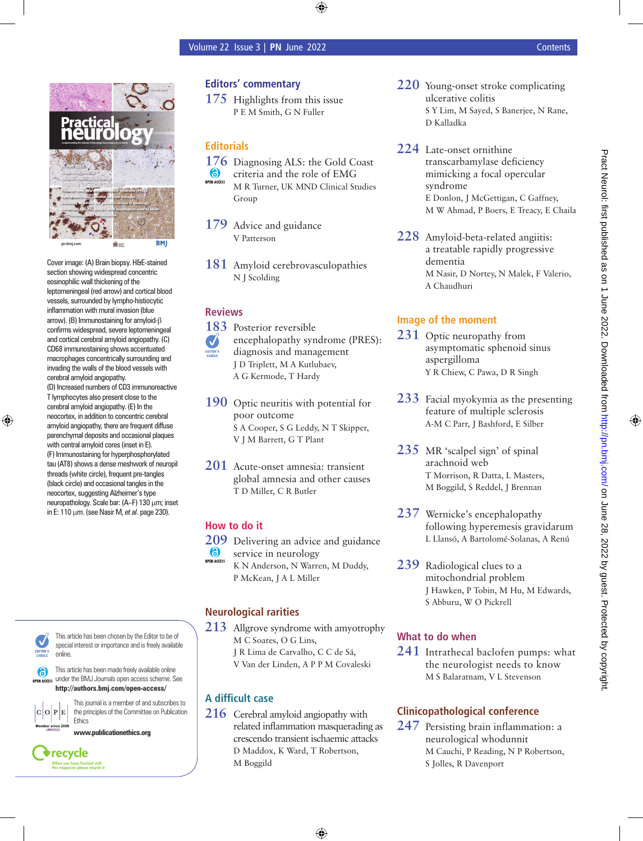

Cover image: (A) Brain biopsy. H&E-stained section showing widespread concentric eosinophilic wall thickening of the leptomeningeal (red arrow) and cortical blood vessels, surrounded by lympho-histiocytic inflammation with mural invasion (blue arrow). (B) Immunostaining for amyloid-β confirms widespread, severe leptomeningeal and cortical cerebral amyloid angiopathy. (C) CD68 immunostaining shows accentuated macrophages concentrically surrounding and invading the walls of the blood vessels with cerebral amyloid angiopathy.

(D) Increased numbers of CD3 immunoreactive T lymphocytes also present close to the cerebral amyloid angiopathy. (E) In the neocortex, in addition to concentric cerebral amyloid angiopathy, there are frequent diffuse parenchymal deposits and occasional plaques with central amyloid cores (inset in E). (F) Immunostaining for hyperphosphorylated tau (AT8) shows a dense meshwork of neuropil threads (white circle), frequent pre-tangles (black circle) and occasional tangles in the neocortex, suggesting Alzheimer's type neuropathology. Scale bar: (A–F) 130 μm; inset in E: 110 μm. (see Nasir M, *et al*. page 230).



This article has been chosen by the Editor to be of special interest or importance and is freely available online.

This article has been made freely available online 6 OPEN ACCESS under the BMJ Journals open access scheme. See **http://authors.bmj.com/open-access/**



**Ethics** 

recycle When you have finished with<br>this magazine please recycle it

This journal is a member of and subscribes to the principles of the Committee on Publication

**www.publicationethics.org**

## **Editors' commentary**

**175** Highlights from this issue P E M Smith, G N Fuller

## **Editorials**

- **176** Diagnosing ALS: the Gold Coast
- $\bullet$ criteria and the role of EMG **OPEN ACCESS** M R Turner, UK MND Clinical Studies Group

**179** Advice and guidance V Patterson

**181** Amyloid cerebrovasculopathies N J Scolding

#### **Reviews**

**183** Posterior reversible encephalopathy syndrome (PRES):  $\boldsymbol{J}$ diagnosis and management J D Triplett, M A Kutlubaev, A G Kermode, T Hardy

- **190** Optic neuritis with potential for poor outcome S A Cooper, S G Leddy, N T Skipper, V J M Barrett, G T Plant
- **201** Acute-onset amnesia: transient global amnesia and other causes T D Miller, C R Butler

### **How to do it**

- **209** Delivering an advice and guidance<br> **6** service in neurology
- service in neurology
- K N Anderson, N Warren, M Duddy, P McKean, J A L Miller

# **Neurological rarities**

**213** Allgrove syndrome with amyotrophy M C Soares, O G Lins, J R Lima de Carvalho, C C de Sá, V Van der Linden, A P P M Covaleski

# **A difficult case**

**216** Cerebral amyloid angiopathy with related inflammation masquerading as crescendo transient ischaemic attacks D Maddox, K Ward, T Robertson, M Boggild

- **220** Young-onset stroke complicating ulcerative colitis S Y Lim, M Sayed, S Banerjee, N Rane, D Kalladka
- **224** Late-onset ornithine transcarbamylase deficiency mimicking a focal opercular syndrome E Donlon, J McGettigan, C Gaffney, M W Ahmad, P Boers, E Treacy, E Chaila
- **228** Amyloid-beta-related angiitis: a treatable rapidly progressive dementia M Nasir, D Nortey, N Malek, F Valerio, A Chaudhuri

# **Image of the moment**

- **231** Optic neuropathy from asymptomatic sphenoid sinus aspergilloma Y R Chiew, C Pawa, D R Singh
- **233** Facial myokymia as the presenting feature of multiple sclerosis A-M C Parr, J Bashford, E Silber
- **235** MR 'scalpel sign' of spinal arachnoid web T Morrison, R Datta, L Masters, M Boggild, S Reddel, J Brennan
- **237** Wernicke's encephalopathy following hyperemesis gravidarum L Llansó, A Bartolomé-Solanas, A Renú
- **239** Radiological clues to a mitochondrial problem J Hawken, P Tobin, M Hu, M Edwards, S Abburu, W O Pickrell

### **What to do when**

**241** Intrathecal baclofen pumps: what the neurologist needs to know M S Balaratnam, V L Stevenson

# **Clinicopathological conference**

**247** Persisting brain inflammation: a neurological whodunnit M Cauchi, P Reading, N P Robertson, S Jolles, R Davenport